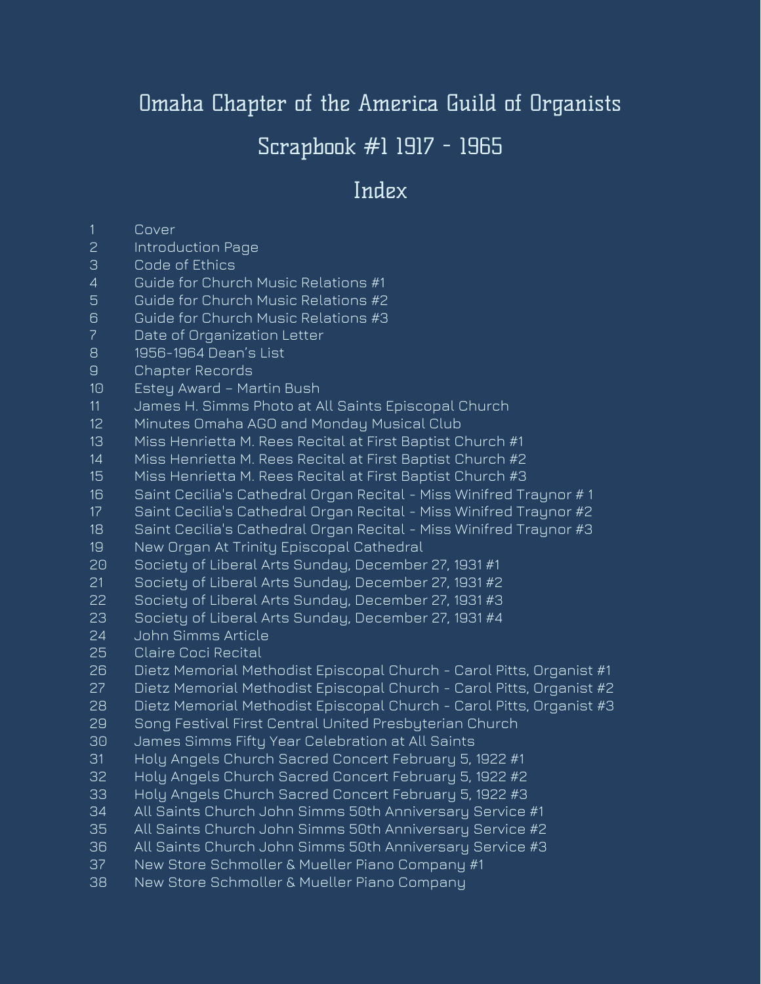## Omaha Chapter of the America Guild of Organists

## Scrapbook #1 1917 - 1965

## Index

- Cover
- Introduction Page
- Code of Ethics
- Guide for Church Music Relations #1
- Guide for Church Music Relations #2
- Guide for Church Music Relations #3
- Date of Organization Letter
- 1956-1964 Dean's List
- Chapter Records
- Estey Award Martin Bush
- James H. Simms Photo at All Saints Episcopal Church
- Minutes Omaha AGO and Monday Musical Club
- Miss Henrietta M. Rees Recital at First Baptist Church #1
- Miss Henrietta M. Rees Recital at First Baptist Church #2
- Miss Henrietta M. Rees Recital at First Baptist Church #3
- Saint Cecilia's Cathedral Organ Recital Miss Winifred Traynor # 1
- 17 Saint Cecilia's Cathedral Organ Recital Miss Winifred Traynor #2
- 18 Saint Cecilia's Cathedral Organ Recital Miss Winifred Traynor #3
- New Organ At Trinity Episcopal Cathedral
- Society of Liberal Arts Sunday, December 27, 1931 #1
- Society of Liberal Arts Sunday, December 27, 1931 #2
- Society of Liberal Arts Sunday, December 27, 1931 #3
- Society of Liberal Arts Sunday, December 27, 1931 #4
- John Simms Article
- Claire Coci Recital
- Dietz Memorial Methodist Episcopal Church Carol Pitts, Organist #1
- Dietz Memorial Methodist Episcopal Church Carol Pitts, Organist #2
- Dietz Memorial Methodist Episcopal Church Carol Pitts, Organist #3
- Song Festival First Central United Presbyterian Church
- James Simms Fifty Year Celebration at All Saints
- Holy Angels Church Sacred Concert February 5, 1922 #1
- Holy Angels Church Sacred Concert February 5, 1922 #2
- Holy Angels Church Sacred Concert February 5, 1922 #3
- All Saints Church John Simms 50th Anniversary Service #1
- All Saints Church John Simms 50th Anniversary Service #2
- All Saints Church John Simms 50th Anniversary Service #3
- New Store Schmoller & Mueller Piano Company #1
- New Store Schmoller & Mueller Piano Company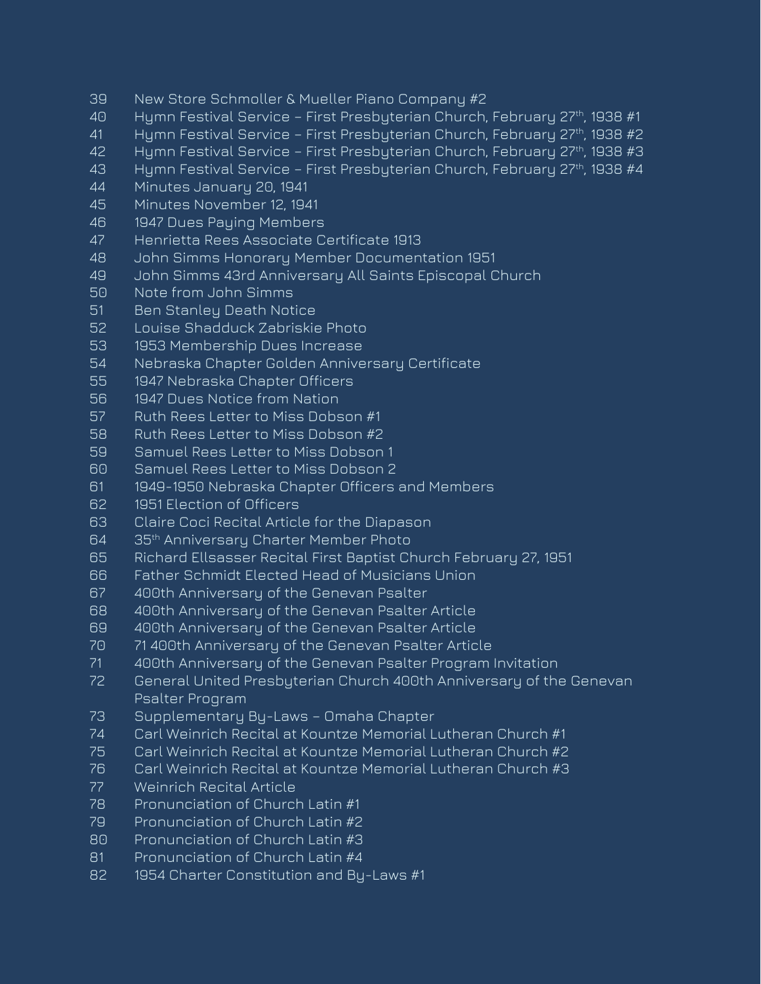- New Store Schmoller & Mueller Piano Company #2
- 40 Hymn Festival Service First Presbyterian Church, February 27<sup>th</sup>, 1938 #1
- 41 Hymn Festival Service First Presbyterian Church, February 27<sup>th</sup>, 1938 #2
- 42 Hymn Festival Service First Presbyterian Church, February 27<sup>th</sup>, 1938 #3
- 43 Hymn Festival Service First Presbyterian Church, February 27<sup>th</sup>, 1938 #4
- Minutes January 20, 1941
- Minutes November 12, 1941
- 1947 Dues Paying Members
- Henrietta Rees Associate Certificate 1913
- John Simms Honorary Member Documentation 1951
- John Simms 43rd Anniversary All Saints Episcopal Church
- Note from John Simms
- Ben Stanley Death Notice
- Louise Shadduck Zabriskie Photo
- 1953 Membership Dues Increase
- Nebraska Chapter Golden Anniversary Certificate
- 1947 Nebraska Chapter Officers
- 1947 Dues Notice from Nation
- Ruth Rees Letter to Miss Dobson #1
- Ruth Rees Letter to Miss Dobson #2
- Samuel Rees Letter to Miss Dobson 1
- Samuel Rees Letter to Miss Dobson 2
- 1949-1950 Nebraska Chapter Officers and Members
- 1951 Election of Officers
- Claire Coci Recital Article for the Diapason
- 35th Anniversary Charter Member Photo
- Richard Ellsasser Recital First Baptist Church February 27, 1951
- Father Schmidt Elected Head of Musicians Union
- 400th Anniversary of the Genevan Psalter
- 400th Anniversary of the Genevan Psalter Article
- 400th Anniversary of the Genevan Psalter Article
- 71 400th Anniversary of the Genevan Psalter Article
- 400th Anniversary of the Genevan Psalter Program Invitation
- General United Presbyterian Church 400th Anniversary of the Genevan Psalter Program
- Supplementary By-Laws Omaha Chapter
- Carl Weinrich Recital at Kountze Memorial Lutheran Church #1
- Carl Weinrich Recital at Kountze Memorial Lutheran Church #2
- Carl Weinrich Recital at Kountze Memorial Lutheran Church #3
- Weinrich Recital Article
- 78 Pronunciation of Church Latin #1
- Pronunciation of Church Latin #2
- Pronunciation of Church Latin #3
- 81 Pronunciation of Church Latin #4
- 1954 Charter Constitution and By-Laws #1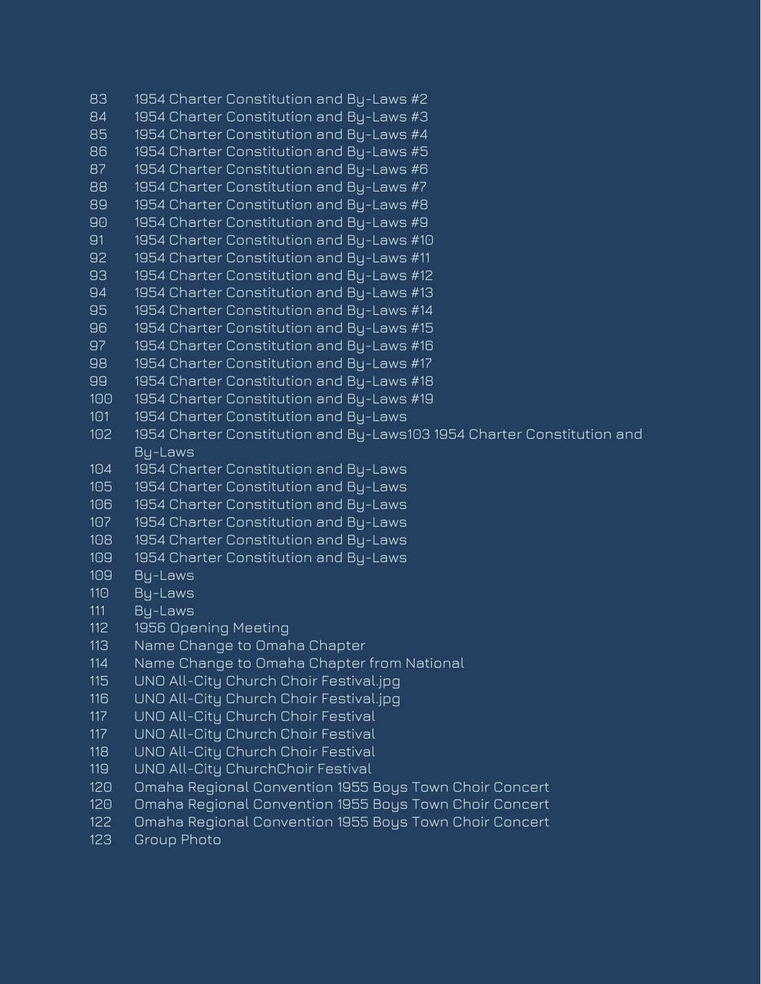- 83 1954 Charter Constitution and By-Laws #2 84 1954 Charter Constitution and By-Laws #3 85 1954 Charter Constitution and By-Laws #4 86 1954 Charter Constitution and By-Laws #5 87 1954 Charter Constitution and By-Laws #6 88 1954 Charter Constitution and By-Laws #7 89 1954 Charter Constitution and By-Laws #8 90 1954 Charter Constitution and By-Laws #9 91 1954 Charter Constitution and By-Laws #10 92 1954 Charter Constitution and By-Laws #11 93 1954 Charter Constitution and By-Laws #12 94 1954 Charter Constitution and By-Laws #13 95 1954 Charter Constitution and By-Laws #14 96 1954 Charter Constitution and By-Laws #15 97 1954 Charter Constitution and By-Laws #16 98 1954 Charter Constitution and By-Laws #17 99 1954 Charter Constitution and By-Laws #18 100 1954 Charter Constitution and By-Laws #19 101 1954 Charter Constitution and By-Laws 102 1954 Charter Constitution and By-Laws103 1954 Charter Constitution and By-Laws 104 1954 Charter Constitution and By-Laws 105 1954 Charter Constitution and By-Laws 106 1954 Charter Constitution and By-Laws 107 1954 Charter Constitution and By-Laws 108 1954 Charter Constitution and By-Laws 109 1954 Charter Constitution and By-Laws 109 By-Laws 110 By-Laws 111 By-Laws 112 1956 Opening Meeting 113 Name Change to Omaha Chapter 114 Name Change to Omaha Chapter from National 115 UNO All-City Church Choir Festival.jpg 116 UNO All-City Church Choir Festival.jpg 117 UNO All-City Church Choir Festival 117 UNO All-City Church Choir Festival 118 UNO All-City Church Choir Festival 119 UNO All-City ChurchChoir Festival 120 Omaha Regional Convention 1955 Boys Town Choir Concert 120 Omaha Regional Convention 1955 Boys Town Choir Concert 122 Omaha Regional Convention 1955 Boys Town Choir Concert
- 123 Group Photo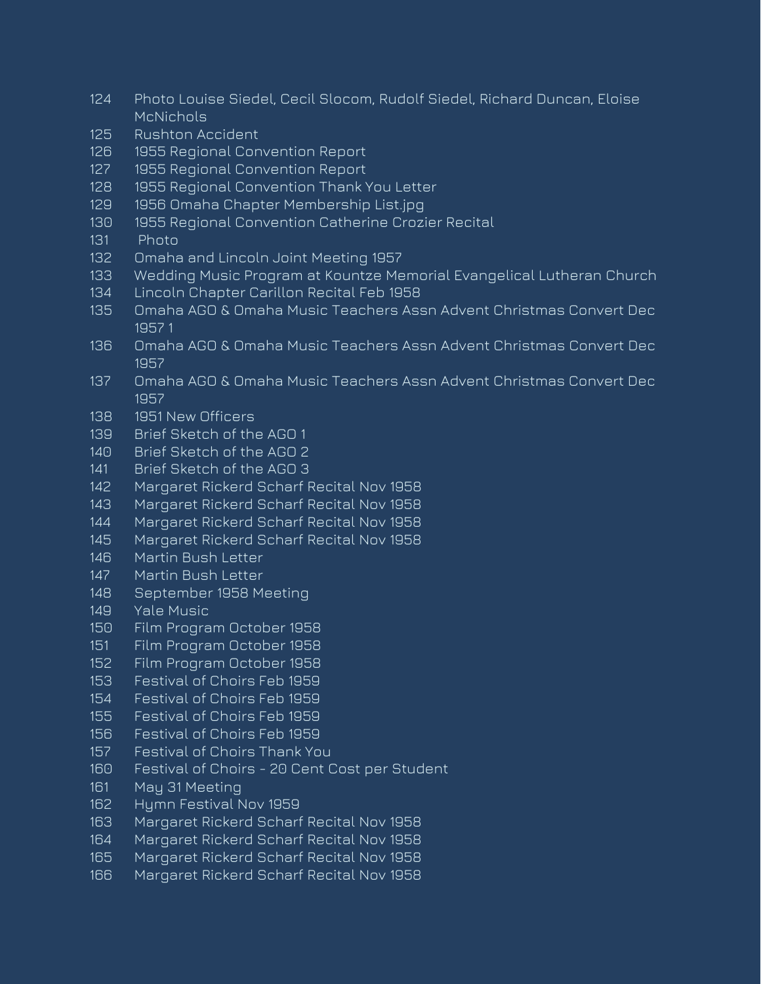- 124 Photo Louise Siedel, Cecil Slocom, Rudolf Siedel, Richard Duncan, Eloise McNichols
- 125 Rushton Accident
- 126 1955 Regional Convention Report
- 127 1955 Regional Convention Report
- 128 1955 Regional Convention Thank You Letter
- 129 1956 Omaha Chapter Membership List.jpg
- 130 1955 Regional Convention Catherine Crozier Recital
- 131 Photo
- 132 Omaha and Lincoln Joint Meeting 1957
- 133 Wedding Music Program at Kountze Memorial Evangelical Lutheran Church
- 134 Lincoln Chapter Carillon Recital Feb 1958
- 135 Omaha AGO & Omaha Music Teachers Assn Advent Christmas Convert Dec 1957 1
- 136 Omaha AGO & Omaha Music Teachers Assn Advent Christmas Convert Dec 1957
- 137 Omaha AGO & Omaha Music Teachers Assn Advent Christmas Convert Dec 1957
- 138 1951 New Officers
- 139 Brief Sketch of the AGO 1
- 140 Brief Sketch of the AGO 2
- 141 Brief Sketch of the AGO 3
- 142 Margaret Rickerd Scharf Recital Nov 1958
- 143 Margaret Rickerd Scharf Recital Nov 1958
- 144 Margaret Rickerd Scharf Recital Nov 1958
- 145 Margaret Rickerd Scharf Recital Nov 1958
- 146 Martin Bush Letter
- 147 Martin Bush Letter
- 148 September 1958 Meeting
- 149 Yale Music
- 150 Film Program October 1958
- 151 Film Program October 1958
- 152 Film Program October 1958
- 153 Festival of Choirs Feb 1959
- 154 Festival of Choirs Feb 1959
- 155 Festival of Choirs Feb 1959
- 156 Festival of Choirs Feb 1959
- 157 Festival of Choirs Thank You
- 160 Festival of Choirs 20 Cent Cost per Student
- 161 May 31 Meeting
- 162 Hymn Festival Nov 1959
- 163 Margaret Rickerd Scharf Recital Nov 1958
- 164 Margaret Rickerd Scharf Recital Nov 1958
- 165 Margaret Rickerd Scharf Recital Nov 1958
- 166 Margaret Rickerd Scharf Recital Nov 1958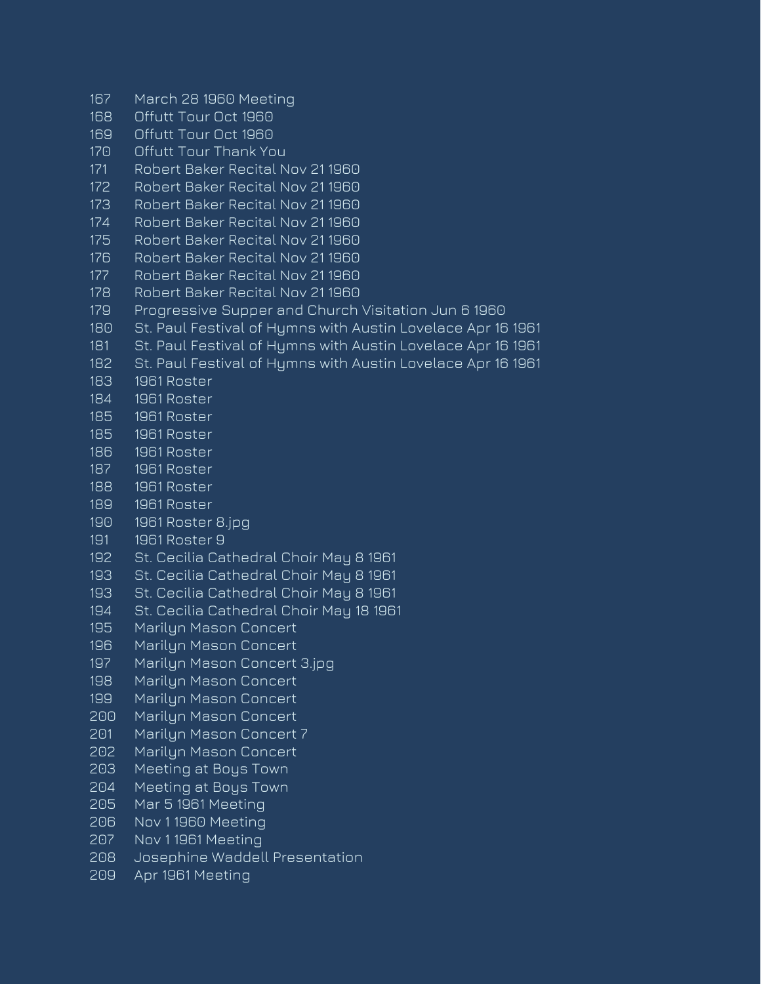167 March 28 1960 Meeting 168 Offutt Tour Oct 1960 169 Offutt Tour Oct 1960 170 Offutt Tour Thank You 171 Robert Baker Recital Nov 21 1960 172 Robert Baker Recital Nov 21 1960 173 Robert Baker Recital Nov 21 1960 174 Robert Baker Recital Nov 21 1960 175 Robert Baker Recital Nov 21 1960 176 Robert Baker Recital Nov 21 1960 177 Robert Baker Recital Nov 21 1960 178 Robert Baker Recital Nov 21 1960 179 Progressive Supper and Church Visitation Jun 6 1960 180 St. Paul Festival of Hymns with Austin Lovelace Apr 16 1961 181 St. Paul Festival of Hymns with Austin Lovelace Apr 16 1961 182 St. Paul Festival of Hymns with Austin Lovelace Apr 16 1961 183 1961 Roster 184 1961 Roster 185 1961 Roster 185 1961 Roster 186 1961 Roster 187 1961 Roster 188 1961 Roster 189 1961 Roster 190 1961 Roster 8.jpg 191 1961 Roster 9 192 St. Cecilia Cathedral Choir May 8 1961 193 St. Cecilia Cathedral Choir May 8 1961 193 St. Cecilia Cathedral Choir May 8 1961 194 St. Cecilia Cathedral Choir May 18 1961 195 Marilyn Mason Concert 196 Marilyn Mason Concert 197 Marilyn Mason Concert 3.jpg 198 Marilyn Mason Concert 199 Marilyn Mason Concert 200 Marilyn Mason Concert 201 Marilyn Mason Concert 7 202 Marilyn Mason Concert 203 Meeting at Boys Town 204 Meeting at Boys Town 205 Mar 5 1961 Meeting 206 Nov 1 1960 Meeting 207 Nov 1 1961 Meeting 208 Josephine Waddell Presentation 209 Apr 1961 Meeting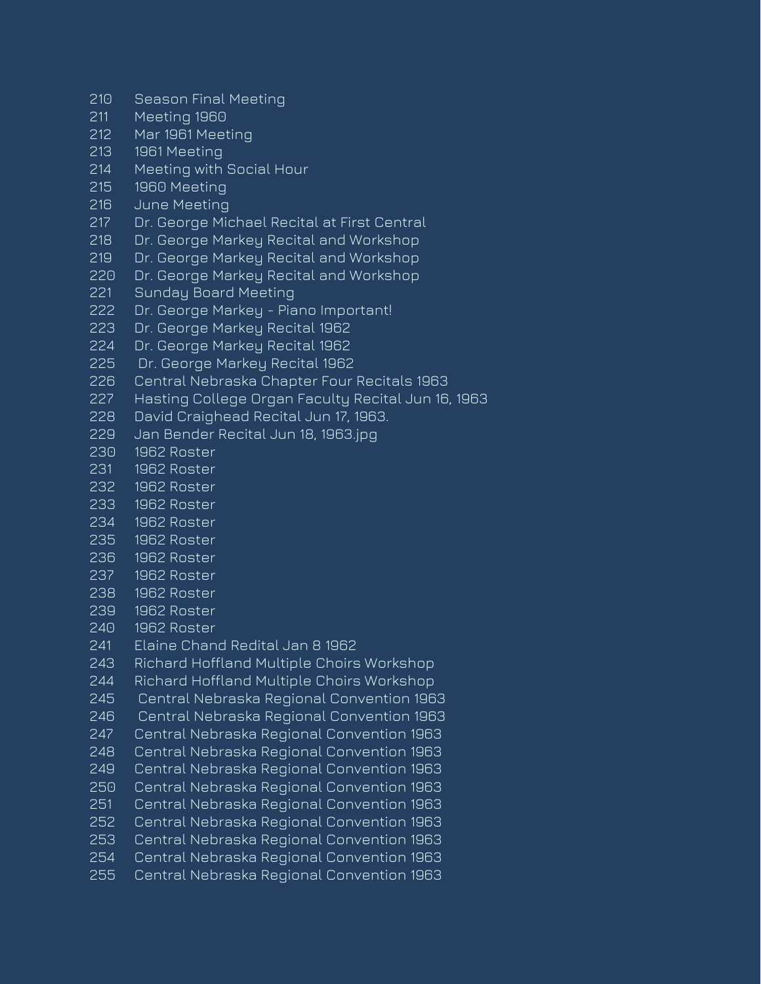- 210 Season Final Meeting
- 211 Meeting 1960
- 212 Mar 1961 Meeting
- 213 1961 Meeting
- 214 Meeting with Social Hour
- 215 1960 Meeting
- 216 June Meeting
- 217 Dr. George Michael Recital at First Central
- 218 Dr. George Markey Recital and Workshop
- 219 Dr. George Markey Recital and Workshop
- 220 Dr. George Markey Recital and Workshop
- 221 Sunday Board Meeting
- 222 Dr. George Markey Piano Important!
- 223 Dr. George Markey Recital 1962
- 224 Dr. George Markey Recital 1962
- 225 Dr. George Markey Recital 1962
- 226 Central Nebraska Chapter Four Recitals 1963
- 227 Hasting College Organ Faculty Recital Jun 16, 1963
- 228 David Craighead Recital Jun 17, 1963.
- 229 Jan Bender Recital Jun 18, 1963.jpg
- 230 1962 Roster
- 231 1962 Roster
- 232 1962 Roster
- 233 1962 Roster
- 234 1962 Roster
- 235 1962 Roster
- 236 1962 Roster
- 237 1962 Roster
- 238 1962 Roster
- 239 1962 Roster
- 240 1962 Roster
- 241 Elaine Chand Redital Jan 8 1962
- 243 Richard Hoffland Multiple Choirs Workshop
- 244 Richard Hoffland Multiple Choirs Workshop
- 245 Central Nebraska Regional Convention 1963
- 246 Central Nebraska Regional Convention 1963
- 247 Central Nebraska Regional Convention 1963
- 248 Central Nebraska Regional Convention 1963
- 249 Central Nebraska Regional Convention 1963
- 250 Central Nebraska Regional Convention 1963
- 251 Central Nebraska Regional Convention 1963
- 252 Central Nebraska Regional Convention 1963
- 253 Central Nebraska Regional Convention 1963
- 254 Central Nebraska Regional Convention 1963
- 255 Central Nebraska Regional Convention 1963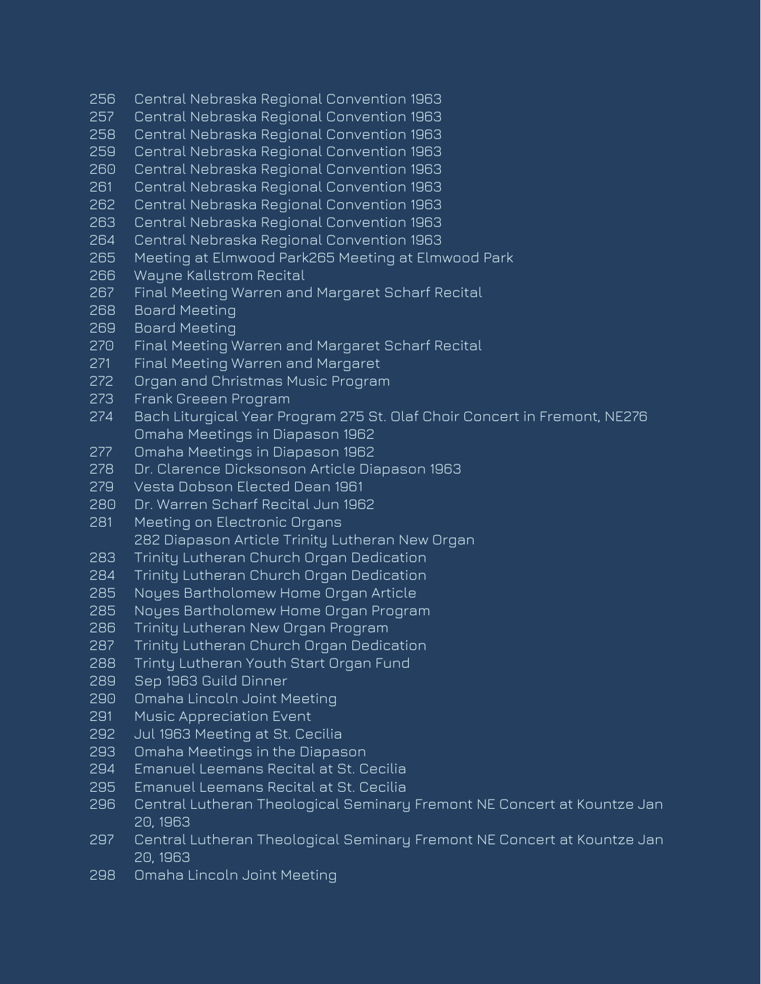- 256 Central Nebraska Regional Convention 1963
- 257 Central Nebraska Regional Convention 1963
- 258 Central Nebraska Regional Convention 1963
- 259 Central Nebraska Regional Convention 1963
- 260 Central Nebraska Regional Convention 1963
- 261 Central Nebraska Regional Convention 1963
- 262 Central Nebraska Regional Convention 1963
- 263 Central Nebraska Regional Convention 1963
- 264 Central Nebraska Regional Convention 1963
- 265 Meeting at Elmwood Park265 Meeting at Elmwood Park
- 266 Wayne Kallstrom Recital
- 267 Final Meeting Warren and Margaret Scharf Recital
- 268 Board Meeting
- 269 Board Meeting
- 270 Final Meeting Warren and Margaret Scharf Recital
- 271 Final Meeting Warren and Margaret
- 272 Organ and Christmas Music Program
- 273 Frank Greeen Program
- 274 Bach Liturgical Year Program 275 St. Olaf Choir Concert in Fremont, NE276 Omaha Meetings in Diapason 1962
- 277 Omaha Meetings in Diapason 1962
- 278 Dr. Clarence Dicksonson Article Diapason 1963
- 279 Vesta Dobson Elected Dean 1961
- 280 Dr. Warren Scharf Recital Jun 1962
- 281 Meeting on Electronic Organs 282 Diapason Article Trinity Lutheran New Organ
- 283 Trinity Lutheran Church Organ Dedication
- 284 Trinity Lutheran Church Organ Dedication
- 285 Noyes Bartholomew Home Organ Article
- 285 Noyes Bartholomew Home Organ Program
- 286 Trinity Lutheran New Organ Program
- 287 Trinity Lutheran Church Organ Dedication
- 288 Trinty Lutheran Youth Start Organ Fund
- 289 Sep 1963 Guild Dinner
- 290 Omaha Lincoln Joint Meeting
- 291 Music Appreciation Event
- 292 Jul 1963 Meeting at St. Cecilia
- 293 Omaha Meetings in the Diapason
- 294 Emanuel Leemans Recital at St. Cecilia
- 295 Emanuel Leemans Recital at St. Cecilia
- 296 Central Lutheran Theological Seminary Fremont NE Concert at Kountze Jan 20, 1963
- 297 Central Lutheran Theological Seminary Fremont NE Concert at Kountze Jan 20, 1963
- 298 Omaha Lincoln Joint Meeting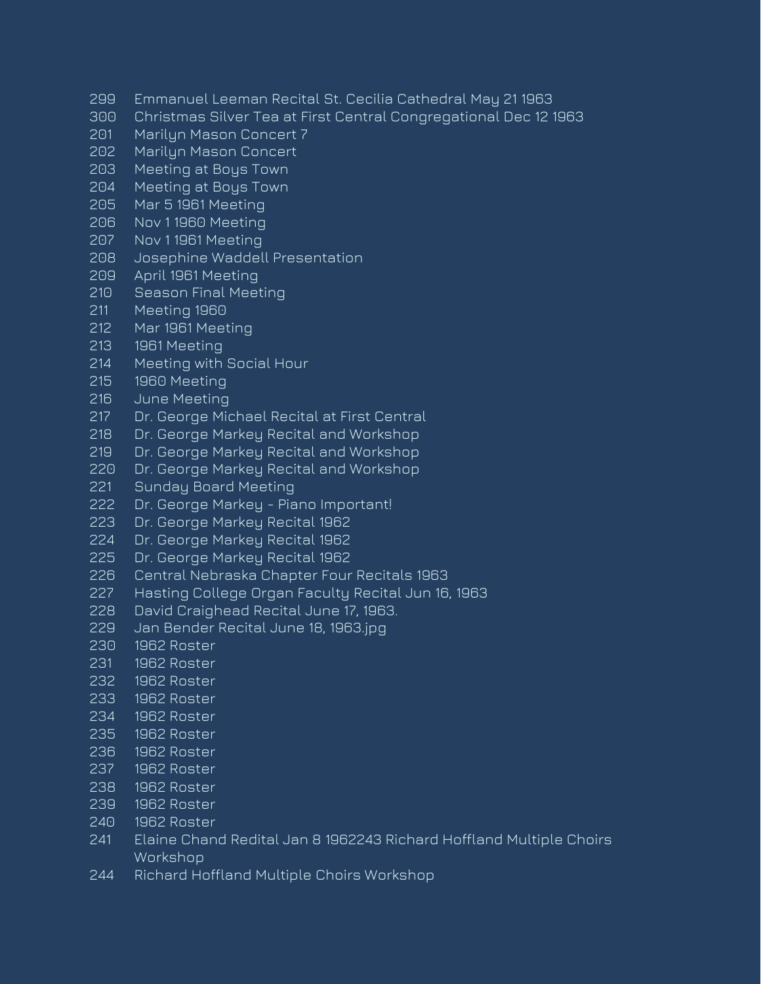- 299 Emmanuel Leeman Recital St. Cecilia Cathedral May 21 1963
- 300 Christmas Silver Tea at First Central Congregational Dec 12 1963
- 201 Marilyn Mason Concert 7
- 202 Marilyn Mason Concert
- 203 Meeting at Boys Town
- 204 Meeting at Boys Town
- 205 Mar 5 1961 Meeting
- 206 Nov 1 1960 Meeting
- 207 Nov 1 1961 Meeting
- 208 Josephine Waddell Presentation
- 209 April 1961 Meeting
- 210 Season Final Meeting
- 211 Meeting 1960
- 212 Mar 1961 Meeting
- 213 1961 Meeting
- 214 Meeting with Social Hour
- 215 1960 Meeting
- 216 June Meeting
- 217 Dr. George Michael Recital at First Central
- 218 Dr. George Markey Recital and Workshop
- 219 Dr. George Markey Recital and Workshop
- 220 Dr. George Markey Recital and Workshop
- 221 Sunday Board Meeting
- 222 Dr. George Markey Piano Important!
- 223 Dr. George Markey Recital 1962
- 224 Dr. George Markey Recital 1962
- 225 Dr. George Markey Recital 1962
- 226 Central Nebraska Chapter Four Recitals 1963
- 227 Hasting College Organ Faculty Recital Jun 16, 1963
- 228 David Craighead Recital June 17, 1963.
- 229 Jan Bender Recital June 18, 1963.jpg
- 230 1962 Roster
- 231 1962 Roster
- 232 1962 Roster
- 233 1962 Roster
- 234 1962 Roster
- 235 1962 Roster
- 236 1962 Roster
- 237 1962 Roster
- 238 1962 Roster
- 239 1962 Roster
- 240 1962 Roster
- 241 Elaine Chand Redital Jan 8 1962243 Richard Hoffland Multiple Choirs Workshop
- 244 Richard Hoffland Multiple Choirs Workshop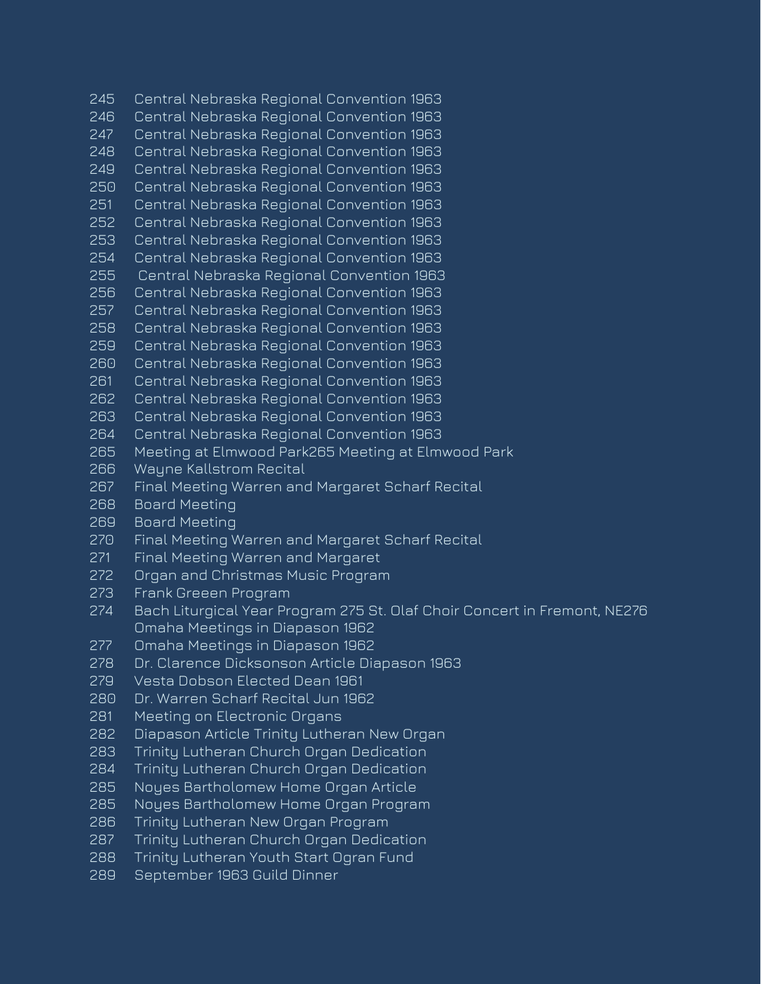245 Central Nebraska Regional Convention 1963 246 Central Nebraska Regional Convention 1963 247 Central Nebraska Regional Convention 1963 248 Central Nebraska Regional Convention 1963 249 Central Nebraska Regional Convention 1963 250 Central Nebraska Regional Convention 1963 251 Central Nebraska Regional Convention 1963 252 Central Nebraska Regional Convention 1963 253 Central Nebraska Regional Convention 1963 254 Central Nebraska Regional Convention 1963 255 Central Nebraska Regional Convention 1963 256 Central Nebraska Regional Convention 1963 257 Central Nebraska Regional Convention 1963 258 Central Nebraska Regional Convention 1963 259 Central Nebraska Regional Convention 1963 260 Central Nebraska Regional Convention 1963 261 Central Nebraska Regional Convention 1963 262 Central Nebraska Regional Convention 1963 263 Central Nebraska Regional Convention 1963 264 Central Nebraska Regional Convention 1963 265 Meeting at Elmwood Park265 Meeting at Elmwood Park 266 Wayne Kallstrom Recital 267 Final Meeting Warren and Margaret Scharf Recital 268 Board Meeting 269 Board Meeting 270 Final Meeting Warren and Margaret Scharf Recital 271 Final Meeting Warren and Margaret 272 Organ and Christmas Music Program 273 Frank Greeen Program 274 Bach Liturgical Year Program 275 St. Olaf Choir Concert in Fremont, NE276 Omaha Meetings in Diapason 1962 277 Omaha Meetings in Diapason 1962 278 Dr. Clarence Dicksonson Article Diapason 1963 279 Vesta Dobson Elected Dean 1961 280 Dr. Warren Scharf Recital Jun 1962 281 Meeting on Electronic Organs 282 Diapason Article Trinity Lutheran New Organ 283 Trinity Lutheran Church Organ Dedication 284 Trinity Lutheran Church Organ Dedication 285 Noyes Bartholomew Home Organ Article 285 Noyes Bartholomew Home Organ Program 286 Trinity Lutheran New Organ Program 287 Trinity Lutheran Church Organ Dedication 288 Trinity Lutheran Youth Start Ogran Fund 289 September 1963 Guild Dinner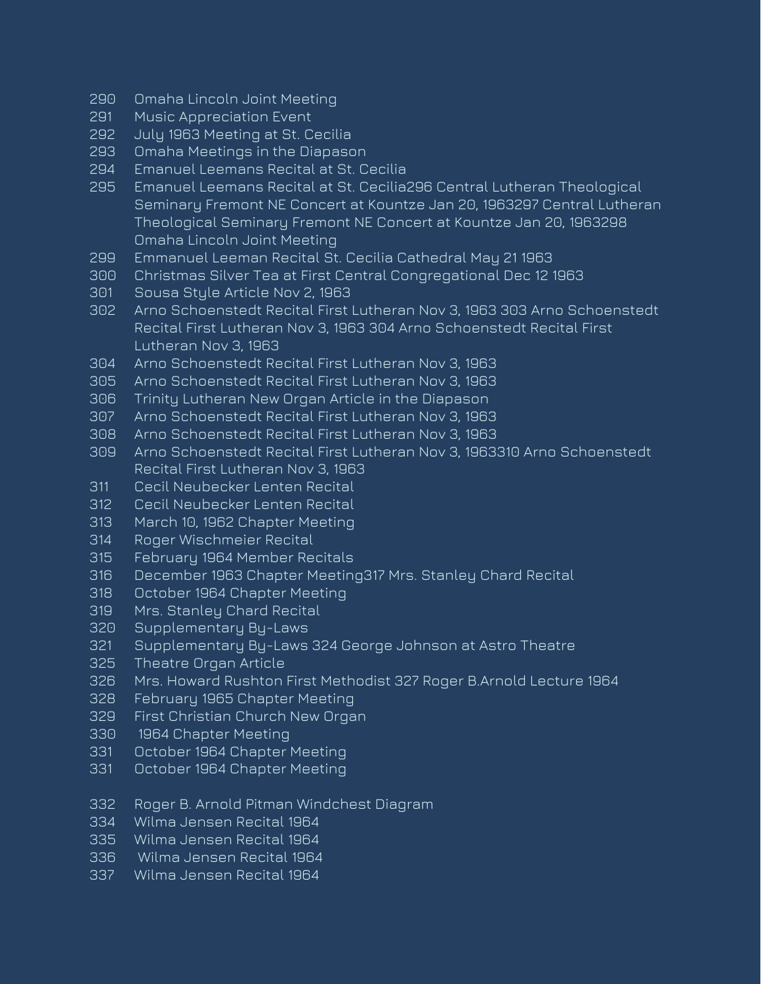- 290 Omaha Lincoln Joint Meeting
- 291 Music Appreciation Event
- 292 July 1963 Meeting at St. Cecilia
- 293 Omaha Meetings in the Diapason
- 294 Emanuel Leemans Recital at St. Cecilia
- 295 Emanuel Leemans Recital at St. Cecilia296 Central Lutheran Theological Seminary Fremont NE Concert at Kountze Jan 20, 1963297 Central Lutheran Theological Seminary Fremont NE Concert at Kountze Jan 20, 1963298 Omaha Lincoln Joint Meeting
- 299 Emmanuel Leeman Recital St. Cecilia Cathedral May 21 1963
- 300 Christmas Silver Tea at First Central Congregational Dec 12 1963
- 301 Sousa Style Article Nov 2, 1963
- 302 Arno Schoenstedt Recital First Lutheran Nov 3, 1963 303 Arno Schoenstedt Recital First Lutheran Nov 3, 1963 304 Arno Schoenstedt Recital First Lutheran Nov 3, 1963
- 304 Arno Schoenstedt Recital First Lutheran Nov 3, 1963
- 305 Arno Schoenstedt Recital First Lutheran Nov 3, 1963
- 306 Trinity Lutheran New Organ Article in the Diapason
- 307 Arno Schoenstedt Recital First Lutheran Nov 3, 1963
- 308 Arno Schoenstedt Recital First Lutheran Nov 3, 1963
- 309 Arno Schoenstedt Recital First Lutheran Nov 3, 1963310 Arno Schoenstedt Recital First Lutheran Nov 3, 1963
- 311 Cecil Neubecker Lenten Recital
- 312 Cecil Neubecker Lenten Recital
- 313 March 10, 1962 Chapter Meeting
- 314 Roger Wischmeier Recital
- 315 February 1964 Member Recitals
- 316 December 1963 Chapter Meeting317 Mrs. Stanley Chard Recital
- 318 October 1964 Chapter Meeting
- 319 Mrs. Stanley Chard Recital
- 320 Supplementary By-Laws
- 321 Supplementary By-Laws 324 George Johnson at Astro Theatre
- 325 Theatre Organ Article
- 326 Mrs. Howard Rushton First Methodist 327 Roger B.Arnold Lecture 1964
- 328 February 1965 Chapter Meeting
- 329 First Christian Church New Organ
- 330 1964 Chapter Meeting
- 331 October 1964 Chapter Meeting
- 331 October 1964 Chapter Meeting
- 332 Roger B. Arnold Pitman Windchest Diagram
- 334 Wilma Jensen Recital 1964
- 335 Wilma Jensen Recital 1964
- 336 Wilma Jensen Recital 1964
- 337 Wilma Jensen Recital 1964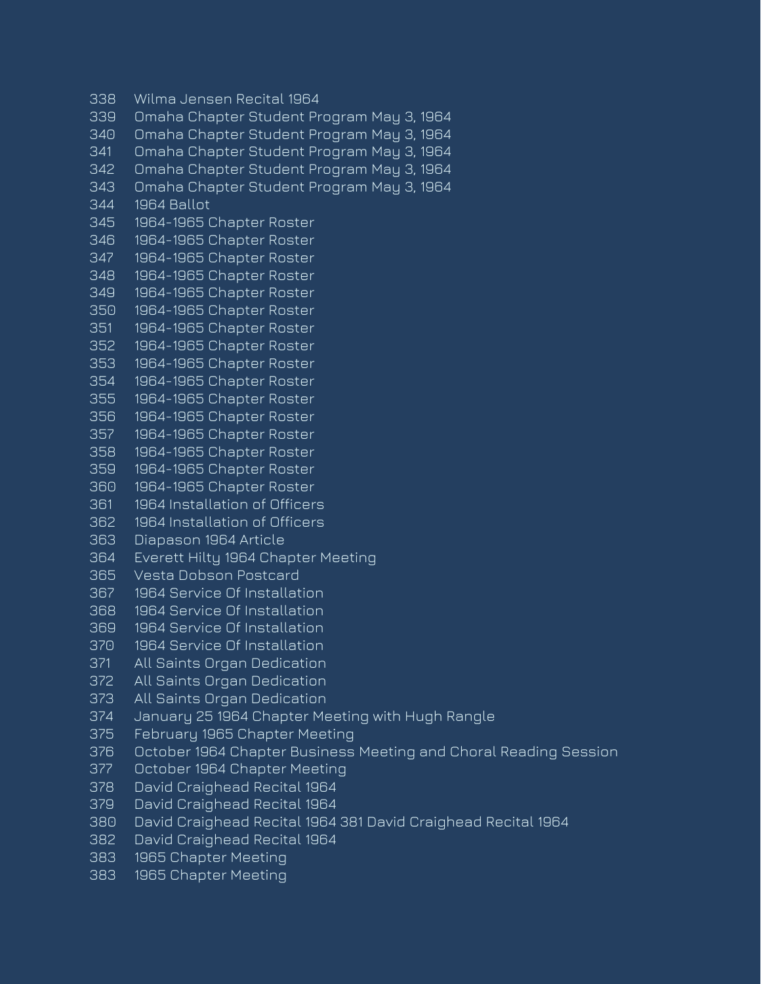338 Wilma Jensen Recital 1964 339 Omaha Chapter Student Program May 3, 1964 340 Omaha Chapter Student Program May 3, 1964 341 Omaha Chapter Student Program May 3, 1964 342 Omaha Chapter Student Program May 3, 1964 343 Omaha Chapter Student Program May 3, 1964 344 1964 Ballot 345 1964-1965 Chapter Roster 346 1964-1965 Chapter Roster 347 1964-1965 Chapter Roster 348 1964-1965 Chapter Roster 349 1964-1965 Chapter Roster 350 1964-1965 Chapter Roster 351 1964-1965 Chapter Roster 352 1964-1965 Chapter Roster 353 1964-1965 Chapter Roster 354 1964-1965 Chapter Roster 355 1964-1965 Chapter Roster 356 1964-1965 Chapter Roster 357 1964-1965 Chapter Roster 358 1964-1965 Chapter Roster 359 1964-1965 Chapter Roster 360 1964-1965 Chapter Roster 361 1964 Installation of Officers 362 1964 Installation of Officers 363 Diapason 1964 Article 364 Everett Hilty 1964 Chapter Meeting 365 Vesta Dobson Postcard 367 1964 Service Of Installation 368 1964 Service Of Installation 369 1964 Service Of Installation 370 1964 Service Of Installation 371 All Saints Organ Dedication 372 All Saints Organ Dedication 373 All Saints Organ Dedication 374 January 25 1964 Chapter Meeting with Hugh Rangle 375 February 1965 Chapter Meeting 376 October 1964 Chapter Business Meeting and Choral Reading Session 377 October 1964 Chapter Meeting 378 David Craighead Recital 1964 379 David Craighead Recital 1964 380 David Craighead Recital 1964 381 David Craighead Recital 1964 382 David Craighead Recital 1964 383 1965 Chapter Meeting 383 1965 Chapter Meeting